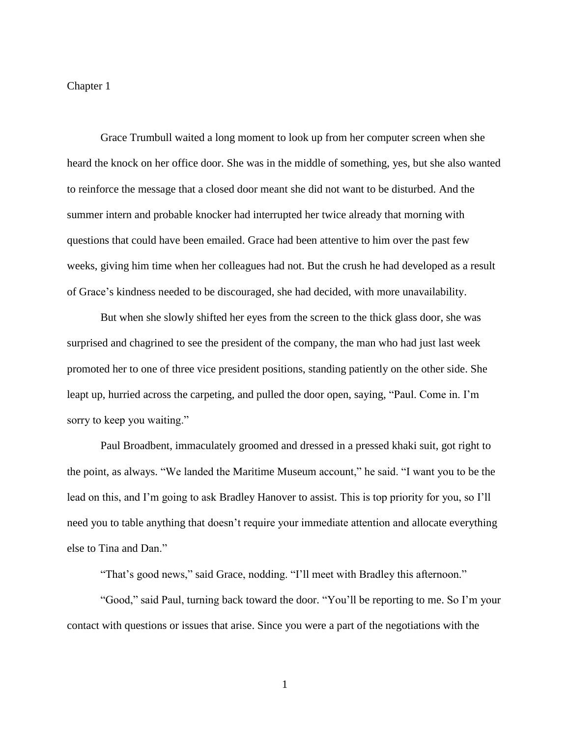Grace Trumbull waited a long moment to look up from her computer screen when she heard the knock on her office door. She was in the middle of something, yes, but she also wanted to reinforce the message that a closed door meant she did not want to be disturbed. And the summer intern and probable knocker had interrupted her twice already that morning with questions that could have been emailed. Grace had been attentive to him over the past few weeks, giving him time when her colleagues had not. But the crush he had developed as a result of Grace's kindness needed to be discouraged, she had decided, with more unavailability.

But when she slowly shifted her eyes from the screen to the thick glass door, she was surprised and chagrined to see the president of the company, the man who had just last week promoted her to one of three vice president positions, standing patiently on the other side. She leapt up, hurried across the carpeting, and pulled the door open, saying, "Paul. Come in. I'm sorry to keep you waiting."

Paul Broadbent, immaculately groomed and dressed in a pressed khaki suit, got right to the point, as always. "We landed the Maritime Museum account," he said. "I want you to be the lead on this, and I'm going to ask Bradley Hanover to assist. This is top priority for you, so I'll need you to table anything that doesn't require your immediate attention and allocate everything else to Tina and Dan."

"That's good news," said Grace, nodding. "I'll meet with Bradley this afternoon."

"Good," said Paul, turning back toward the door. "You'll be reporting to me. So I'm your contact with questions or issues that arise. Since you were a part of the negotiations with the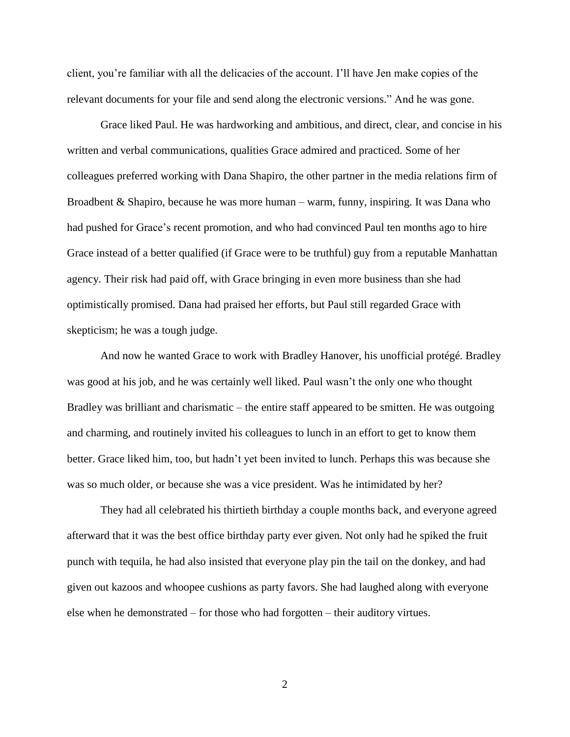client, you're familiar with all the delicacies of the account. I'll have Jen make copies of the relevant documents for your file and send along the electronic versions." And he was gone.

Grace liked Paul. He was hardworking and ambitious, and direct, clear, and concise in his written and verbal communications, qualities Grace admired and practiced. Some of her colleagues preferred working with Dana Shapiro, the other partner in the media relations firm of Broadbent & Shapiro, because he was more human – warm, funny, inspiring. It was Dana who had pushed for Grace's recent promotion, and who had convinced Paul ten months ago to hire Grace instead of a better qualified (if Grace were to be truthful) guy from a reputable Manhattan agency. Their risk had paid off, with Grace bringing in even more business than she had optimistically promised. Dana had praised her efforts, but Paul still regarded Grace with skepticism; he was a tough judge.

And now he wanted Grace to work with Bradley Hanover, his unofficial protégé. Bradley was good at his job, and he was certainly well liked. Paul wasn't the only one who thought Bradley was brilliant and charismatic – the entire staff appeared to be smitten. He was outgoing and charming, and routinely invited his colleagues to lunch in an effort to get to know them better. Grace liked him, too, but hadn't yet been invited to lunch. Perhaps this was because she was so much older, or because she was a vice president. Was he intimidated by her?

They had all celebrated his thirtieth birthday a couple months back, and everyone agreed afterward that it was the best office birthday party ever given. Not only had he spiked the fruit punch with tequila, he had also insisted that everyone play pin the tail on the donkey, and had given out kazoos and whoopee cushions as party favors. She had laughed along with everyone else when he demonstrated – for those who had forgotten – their auditory virtues.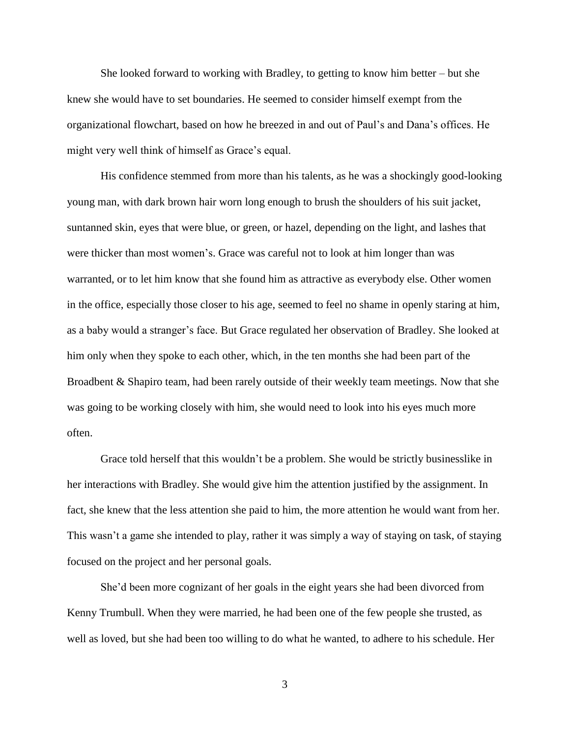She looked forward to working with Bradley, to getting to know him better – but she knew she would have to set boundaries. He seemed to consider himself exempt from the organizational flowchart, based on how he breezed in and out of Paul's and Dana's offices. He might very well think of himself as Grace's equal.

His confidence stemmed from more than his talents, as he was a shockingly good-looking young man, with dark brown hair worn long enough to brush the shoulders of his suit jacket, suntanned skin, eyes that were blue, or green, or hazel, depending on the light, and lashes that were thicker than most women's. Grace was careful not to look at him longer than was warranted, or to let him know that she found him as attractive as everybody else. Other women in the office, especially those closer to his age, seemed to feel no shame in openly staring at him, as a baby would a stranger's face. But Grace regulated her observation of Bradley. She looked at him only when they spoke to each other, which, in the ten months she had been part of the Broadbent & Shapiro team, had been rarely outside of their weekly team meetings. Now that she was going to be working closely with him, she would need to look into his eyes much more often.

Grace told herself that this wouldn't be a problem. She would be strictly businesslike in her interactions with Bradley. She would give him the attention justified by the assignment. In fact, she knew that the less attention she paid to him, the more attention he would want from her. This wasn't a game she intended to play, rather it was simply a way of staying on task, of staying focused on the project and her personal goals.

She'd been more cognizant of her goals in the eight years she had been divorced from Kenny Trumbull. When they were married, he had been one of the few people she trusted, as well as loved, but she had been too willing to do what he wanted, to adhere to his schedule. Her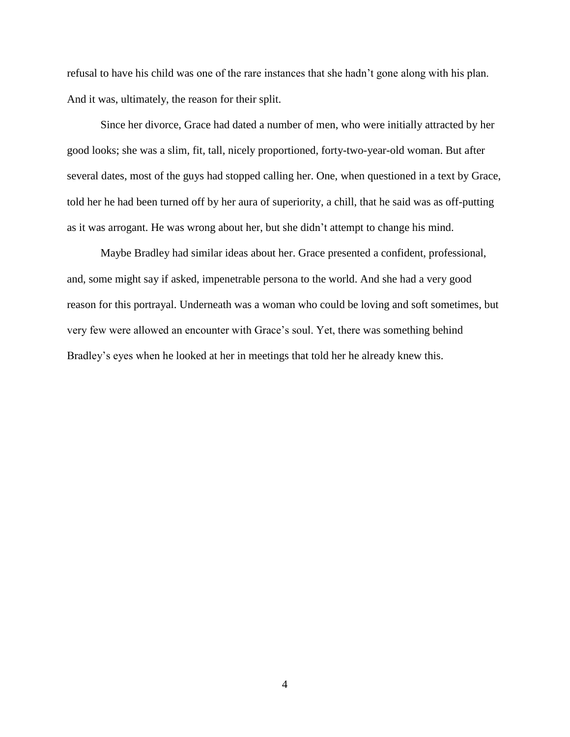refusal to have his child was one of the rare instances that she hadn't gone along with his plan. And it was, ultimately, the reason for their split.

Since her divorce, Grace had dated a number of men, who were initially attracted by her good looks; she was a slim, fit, tall, nicely proportioned, forty-two-year-old woman. But after several dates, most of the guys had stopped calling her. One, when questioned in a text by Grace, told her he had been turned off by her aura of superiority, a chill, that he said was as off-putting as it was arrogant. He was wrong about her, but she didn't attempt to change his mind.

Maybe Bradley had similar ideas about her. Grace presented a confident, professional, and, some might say if asked, impenetrable persona to the world. And she had a very good reason for this portrayal. Underneath was a woman who could be loving and soft sometimes, but very few were allowed an encounter with Grace's soul. Yet, there was something behind Bradley's eyes when he looked at her in meetings that told her he already knew this.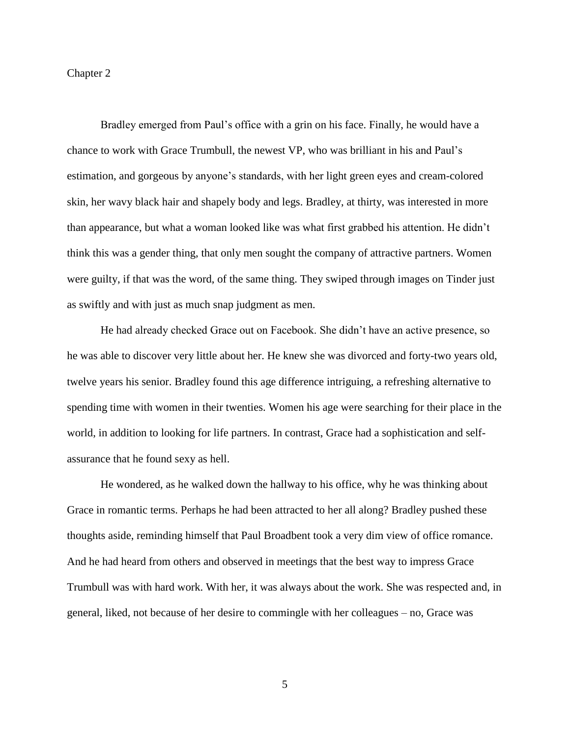Bradley emerged from Paul's office with a grin on his face. Finally, he would have a chance to work with Grace Trumbull, the newest VP, who was brilliant in his and Paul's estimation, and gorgeous by anyone's standards, with her light green eyes and cream-colored skin, her wavy black hair and shapely body and legs. Bradley, at thirty, was interested in more than appearance, but what a woman looked like was what first grabbed his attention. He didn't think this was a gender thing, that only men sought the company of attractive partners. Women were guilty, if that was the word, of the same thing. They swiped through images on Tinder just as swiftly and with just as much snap judgment as men.

He had already checked Grace out on Facebook. She didn't have an active presence, so he was able to discover very little about her. He knew she was divorced and forty-two years old, twelve years his senior. Bradley found this age difference intriguing, a refreshing alternative to spending time with women in their twenties. Women his age were searching for their place in the world, in addition to looking for life partners. In contrast, Grace had a sophistication and selfassurance that he found sexy as hell.

He wondered, as he walked down the hallway to his office, why he was thinking about Grace in romantic terms. Perhaps he had been attracted to her all along? Bradley pushed these thoughts aside, reminding himself that Paul Broadbent took a very dim view of office romance. And he had heard from others and observed in meetings that the best way to impress Grace Trumbull was with hard work. With her, it was always about the work. She was respected and, in general, liked, not because of her desire to commingle with her colleagues – no, Grace was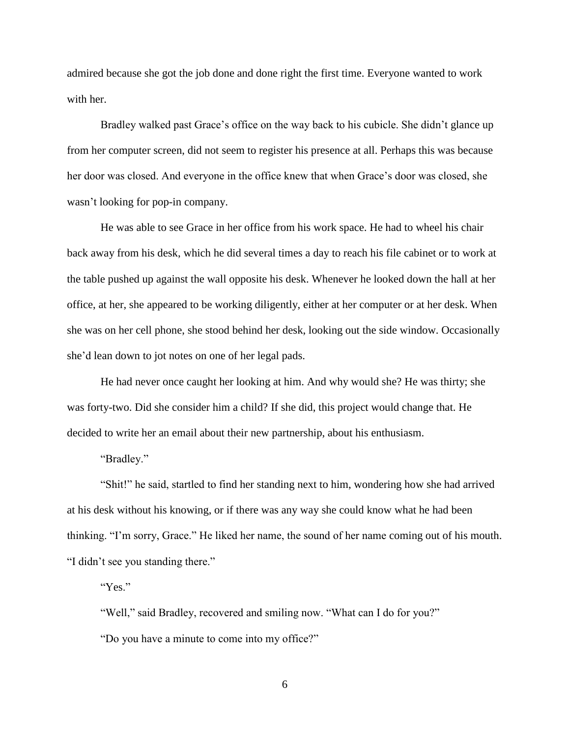admired because she got the job done and done right the first time. Everyone wanted to work with her.

Bradley walked past Grace's office on the way back to his cubicle. She didn't glance up from her computer screen, did not seem to register his presence at all. Perhaps this was because her door was closed. And everyone in the office knew that when Grace's door was closed, she wasn't looking for pop-in company.

He was able to see Grace in her office from his work space. He had to wheel his chair back away from his desk, which he did several times a day to reach his file cabinet or to work at the table pushed up against the wall opposite his desk. Whenever he looked down the hall at her office, at her, she appeared to be working diligently, either at her computer or at her desk. When she was on her cell phone, she stood behind her desk, looking out the side window. Occasionally she'd lean down to jot notes on one of her legal pads.

He had never once caught her looking at him. And why would she? He was thirty; she was forty-two. Did she consider him a child? If she did, this project would change that. He decided to write her an email about their new partnership, about his enthusiasm.

"Bradley."

"Shit!" he said, startled to find her standing next to him, wondering how she had arrived at his desk without his knowing, or if there was any way she could know what he had been thinking. "I'm sorry, Grace." He liked her name, the sound of her name coming out of his mouth. "I didn't see you standing there."

"Yes."

"Well," said Bradley, recovered and smiling now. "What can I do for you?" "Do you have a minute to come into my office?"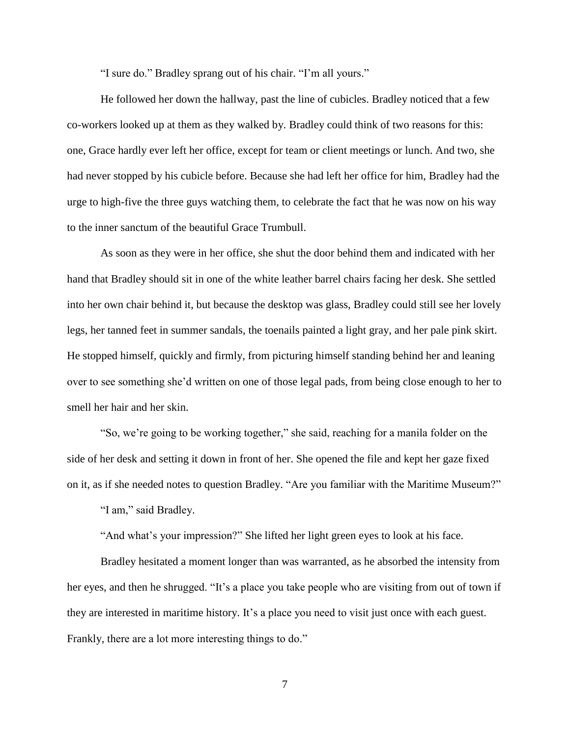"I sure do." Bradley sprang out of his chair. "I'm all yours."

He followed her down the hallway, past the line of cubicles. Bradley noticed that a few co-workers looked up at them as they walked by. Bradley could think of two reasons for this: one, Grace hardly ever left her office, except for team or client meetings or lunch. And two, she had never stopped by his cubicle before. Because she had left her office for him, Bradley had the urge to high-five the three guys watching them, to celebrate the fact that he was now on his way to the inner sanctum of the beautiful Grace Trumbull.

As soon as they were in her office, she shut the door behind them and indicated with her hand that Bradley should sit in one of the white leather barrel chairs facing her desk. She settled into her own chair behind it, but because the desktop was glass, Bradley could still see her lovely legs, her tanned feet in summer sandals, the toenails painted a light gray, and her pale pink skirt. He stopped himself, quickly and firmly, from picturing himself standing behind her and leaning over to see something she'd written on one of those legal pads, from being close enough to her to smell her hair and her skin.

"So, we're going to be working together," she said, reaching for a manila folder on the side of her desk and setting it down in front of her. She opened the file and kept her gaze fixed on it, as if she needed notes to question Bradley. "Are you familiar with the Maritime Museum?"

"I am," said Bradley.

"And what's your impression?" She lifted her light green eyes to look at his face.

Bradley hesitated a moment longer than was warranted, as he absorbed the intensity from her eyes, and then he shrugged. "It's a place you take people who are visiting from out of town if they are interested in maritime history. It's a place you need to visit just once with each guest. Frankly, there are a lot more interesting things to do."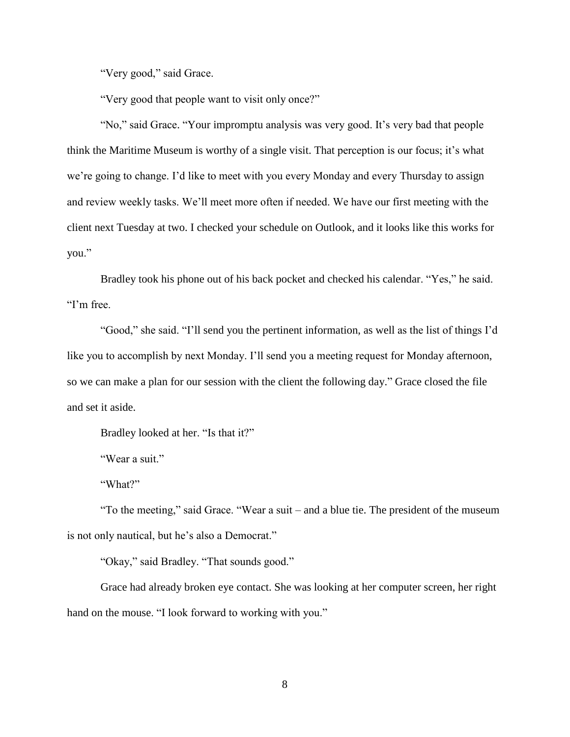"Very good," said Grace.

"Very good that people want to visit only once?"

"No," said Grace. "Your impromptu analysis was very good. It's very bad that people think the Maritime Museum is worthy of a single visit. That perception is our focus; it's what we're going to change. I'd like to meet with you every Monday and every Thursday to assign and review weekly tasks. We'll meet more often if needed. We have our first meeting with the client next Tuesday at two. I checked your schedule on Outlook, and it looks like this works for you."

Bradley took his phone out of his back pocket and checked his calendar. "Yes," he said. "I'm free.

"Good," she said. "I'll send you the pertinent information, as well as the list of things I'd like you to accomplish by next Monday. I'll send you a meeting request for Monday afternoon, so we can make a plan for our session with the client the following day." Grace closed the file and set it aside.

Bradley looked at her. "Is that it?"

"Wear a suit."

"What?"

"To the meeting," said Grace. "Wear a suit – and a blue tie. The president of the museum is not only nautical, but he's also a Democrat."

"Okay," said Bradley. "That sounds good."

Grace had already broken eye contact. She was looking at her computer screen, her right hand on the mouse. "I look forward to working with you."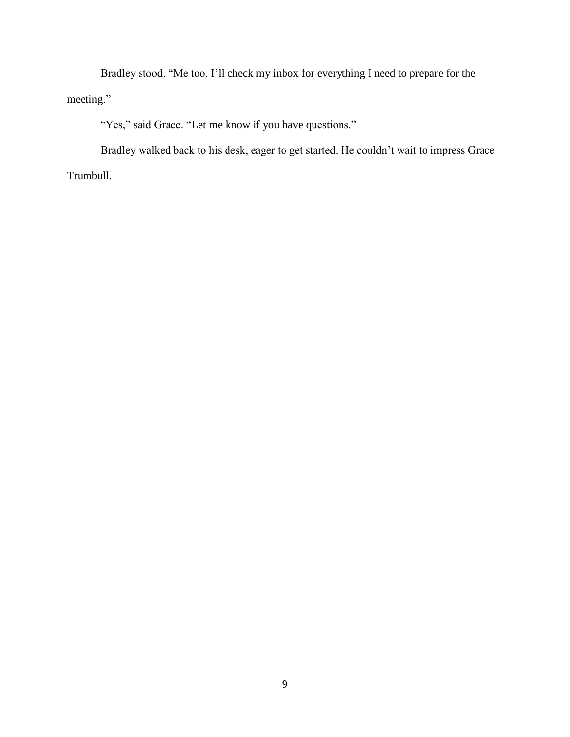Bradley stood. "Me too. I'll check my inbox for everything I need to prepare for the meeting."

"Yes," said Grace. "Let me know if you have questions."

Bradley walked back to his desk, eager to get started. He couldn't wait to impress Grace Trumbull.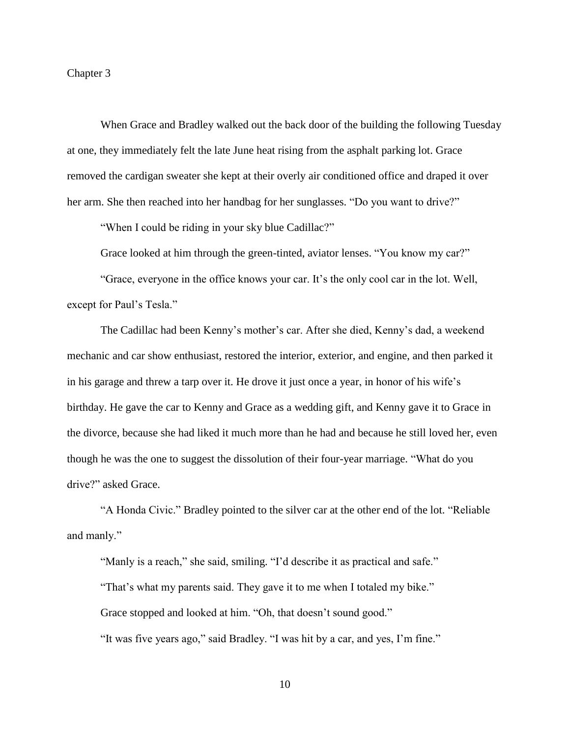When Grace and Bradley walked out the back door of the building the following Tuesday at one, they immediately felt the late June heat rising from the asphalt parking lot. Grace removed the cardigan sweater she kept at their overly air conditioned office and draped it over her arm. She then reached into her handbag for her sunglasses. "Do you want to drive?"

"When I could be riding in your sky blue Cadillac?"

Grace looked at him through the green-tinted, aviator lenses. "You know my car?"

"Grace, everyone in the office knows your car. It's the only cool car in the lot. Well, except for Paul's Tesla."

The Cadillac had been Kenny's mother's car. After she died, Kenny's dad, a weekend mechanic and car show enthusiast, restored the interior, exterior, and engine, and then parked it in his garage and threw a tarp over it. He drove it just once a year, in honor of his wife's birthday. He gave the car to Kenny and Grace as a wedding gift, and Kenny gave it to Grace in the divorce, because she had liked it much more than he had and because he still loved her, even though he was the one to suggest the dissolution of their four-year marriage. "What do you drive?" asked Grace.

"A Honda Civic." Bradley pointed to the silver car at the other end of the lot. "Reliable and manly."

"Manly is a reach," she said, smiling. "I'd describe it as practical and safe." "That's what my parents said. They gave it to me when I totaled my bike." Grace stopped and looked at him. "Oh, that doesn't sound good." "It was five years ago," said Bradley. "I was hit by a car, and yes, I'm fine."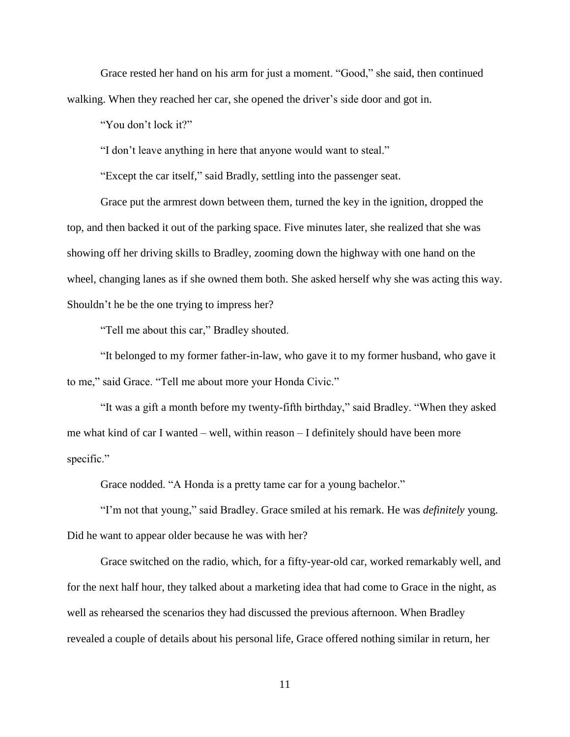Grace rested her hand on his arm for just a moment. "Good," she said, then continued walking. When they reached her car, she opened the driver's side door and got in.

"You don't lock it?"

"I don't leave anything in here that anyone would want to steal."

"Except the car itself," said Bradly, settling into the passenger seat.

Grace put the armrest down between them, turned the key in the ignition, dropped the top, and then backed it out of the parking space. Five minutes later, she realized that she was showing off her driving skills to Bradley, zooming down the highway with one hand on the wheel, changing lanes as if she owned them both. She asked herself why she was acting this way. Shouldn't he be the one trying to impress her?

"Tell me about this car," Bradley shouted.

"It belonged to my former father-in-law, who gave it to my former husband, who gave it to me," said Grace. "Tell me about more your Honda Civic."

"It was a gift a month before my twenty-fifth birthday," said Bradley. "When they asked me what kind of car I wanted – well, within reason – I definitely should have been more specific."

Grace nodded. "A Honda is a pretty tame car for a young bachelor."

"I'm not that young," said Bradley. Grace smiled at his remark. He was *definitely* young. Did he want to appear older because he was with her?

Grace switched on the radio, which, for a fifty-year-old car, worked remarkably well, and for the next half hour, they talked about a marketing idea that had come to Grace in the night, as well as rehearsed the scenarios they had discussed the previous afternoon. When Bradley revealed a couple of details about his personal life, Grace offered nothing similar in return, her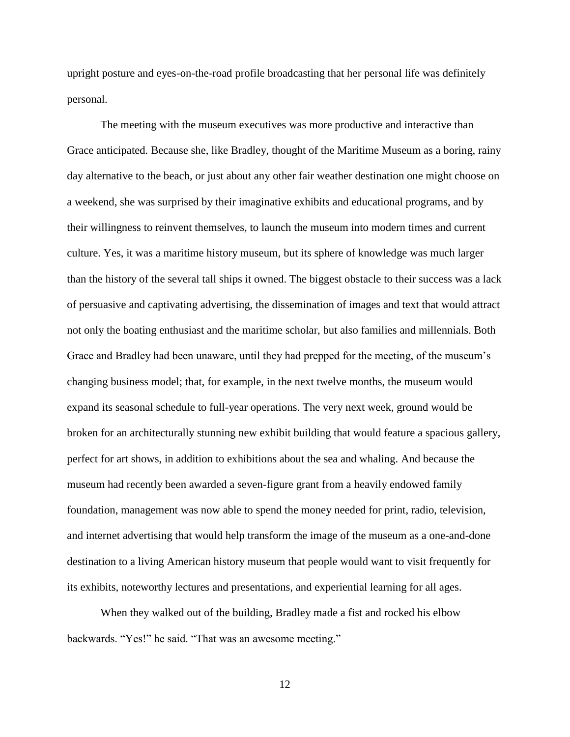upright posture and eyes-on-the-road profile broadcasting that her personal life was definitely personal.

The meeting with the museum executives was more productive and interactive than Grace anticipated. Because she, like Bradley, thought of the Maritime Museum as a boring, rainy day alternative to the beach, or just about any other fair weather destination one might choose on a weekend, she was surprised by their imaginative exhibits and educational programs, and by their willingness to reinvent themselves, to launch the museum into modern times and current culture. Yes, it was a maritime history museum, but its sphere of knowledge was much larger than the history of the several tall ships it owned. The biggest obstacle to their success was a lack of persuasive and captivating advertising, the dissemination of images and text that would attract not only the boating enthusiast and the maritime scholar, but also families and millennials. Both Grace and Bradley had been unaware, until they had prepped for the meeting, of the museum's changing business model; that, for example, in the next twelve months, the museum would expand its seasonal schedule to full-year operations. The very next week, ground would be broken for an architecturally stunning new exhibit building that would feature a spacious gallery, perfect for art shows, in addition to exhibitions about the sea and whaling. And because the museum had recently been awarded a seven-figure grant from a heavily endowed family foundation, management was now able to spend the money needed for print, radio, television, and internet advertising that would help transform the image of the museum as a one-and-done destination to a living American history museum that people would want to visit frequently for its exhibits, noteworthy lectures and presentations, and experiential learning for all ages.

When they walked out of the building, Bradley made a fist and rocked his elbow backwards. "Yes!" he said. "That was an awesome meeting."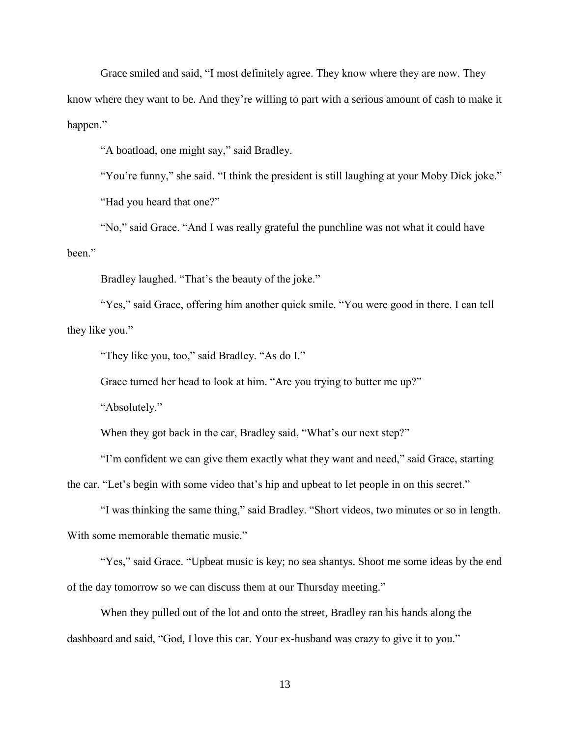Grace smiled and said, "I most definitely agree. They know where they are now. They

know where they want to be. And they're willing to part with a serious amount of cash to make it happen."

"A boatload, one might say," said Bradley.

"You're funny," she said. "I think the president is still laughing at your Moby Dick joke." "Had you heard that one?"

"No," said Grace. "And I was really grateful the punchline was not what it could have heen"

Bradley laughed. "That's the beauty of the joke."

"Yes," said Grace, offering him another quick smile. "You were good in there. I can tell they like you."

"They like you, too," said Bradley. "As do I."

Grace turned her head to look at him. "Are you trying to butter me up?"

"Absolutely."

When they got back in the car, Bradley said, "What's our next step?"

"I'm confident we can give them exactly what they want and need," said Grace, starting

the car. "Let's begin with some video that's hip and upbeat to let people in on this secret."

"I was thinking the same thing," said Bradley. "Short videos, two minutes or so in length. With some memorable thematic music."

"Yes," said Grace. "Upbeat music is key; no sea shantys. Shoot me some ideas by the end of the day tomorrow so we can discuss them at our Thursday meeting."

When they pulled out of the lot and onto the street, Bradley ran his hands along the dashboard and said, "God, I love this car. Your ex-husband was crazy to give it to you."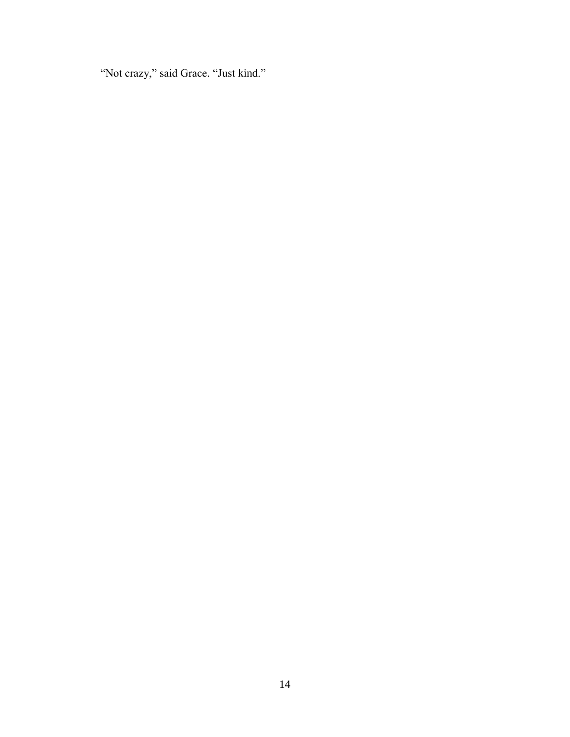"Not crazy," said Grace. "Just kind."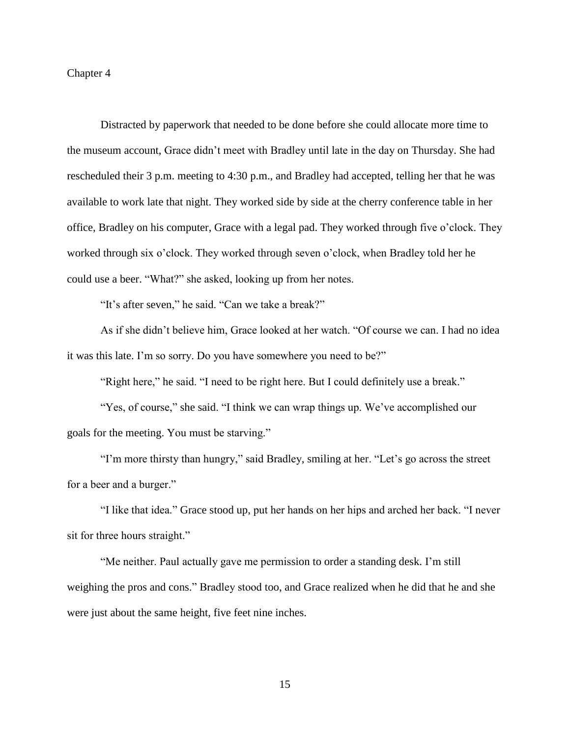Distracted by paperwork that needed to be done before she could allocate more time to the museum account, Grace didn't meet with Bradley until late in the day on Thursday. She had rescheduled their 3 p.m. meeting to 4:30 p.m., and Bradley had accepted, telling her that he was available to work late that night. They worked side by side at the cherry conference table in her office, Bradley on his computer, Grace with a legal pad. They worked through five o'clock. They worked through six o'clock. They worked through seven o'clock, when Bradley told her he could use a beer. "What?" she asked, looking up from her notes.

"It's after seven," he said. "Can we take a break?"

As if she didn't believe him, Grace looked at her watch. "Of course we can. I had no idea it was this late. I'm so sorry. Do you have somewhere you need to be?"

"Right here," he said. "I need to be right here. But I could definitely use a break."

"Yes, of course," she said. "I think we can wrap things up. We've accomplished our goals for the meeting. You must be starving."

"I'm more thirsty than hungry," said Bradley, smiling at her. "Let's go across the street for a beer and a burger."

"I like that idea." Grace stood up, put her hands on her hips and arched her back. "I never sit for three hours straight."

"Me neither. Paul actually gave me permission to order a standing desk. I'm still weighing the pros and cons." Bradley stood too, and Grace realized when he did that he and she were just about the same height, five feet nine inches.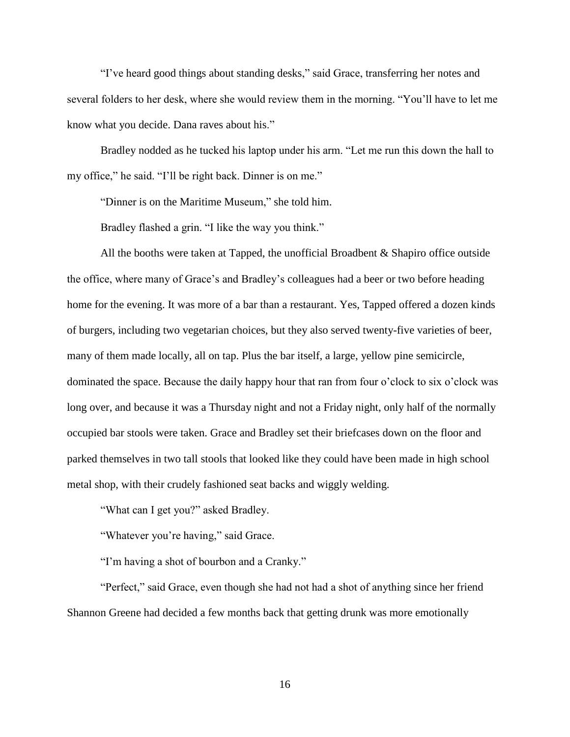"I've heard good things about standing desks," said Grace, transferring her notes and several folders to her desk, where she would review them in the morning. "You'll have to let me know what you decide. Dana raves about his."

Bradley nodded as he tucked his laptop under his arm. "Let me run this down the hall to my office," he said. "I'll be right back. Dinner is on me."

"Dinner is on the Maritime Museum," she told him.

Bradley flashed a grin. "I like the way you think."

All the booths were taken at Tapped, the unofficial Broadbent & Shapiro office outside the office, where many of Grace's and Bradley's colleagues had a beer or two before heading home for the evening. It was more of a bar than a restaurant. Yes, Tapped offered a dozen kinds of burgers, including two vegetarian choices, but they also served twenty-five varieties of beer, many of them made locally, all on tap. Plus the bar itself, a large, yellow pine semicircle, dominated the space. Because the daily happy hour that ran from four o'clock to six o'clock was long over, and because it was a Thursday night and not a Friday night, only half of the normally occupied bar stools were taken. Grace and Bradley set their briefcases down on the floor and parked themselves in two tall stools that looked like they could have been made in high school metal shop, with their crudely fashioned seat backs and wiggly welding.

"What can I get you?" asked Bradley.

"Whatever you're having," said Grace.

"I'm having a shot of bourbon and a Cranky."

"Perfect," said Grace, even though she had not had a shot of anything since her friend Shannon Greene had decided a few months back that getting drunk was more emotionally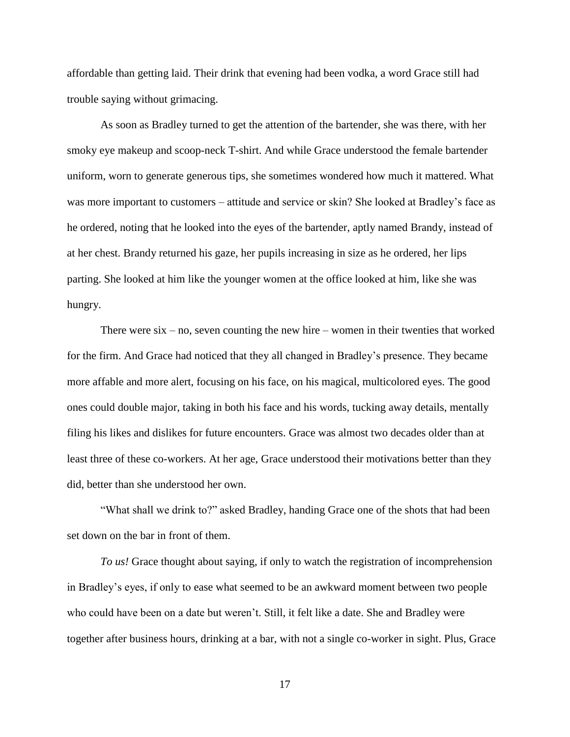affordable than getting laid. Their drink that evening had been vodka, a word Grace still had trouble saying without grimacing.

As soon as Bradley turned to get the attention of the bartender, she was there, with her smoky eye makeup and scoop-neck T-shirt. And while Grace understood the female bartender uniform, worn to generate generous tips, she sometimes wondered how much it mattered. What was more important to customers – attitude and service or skin? She looked at Bradley's face as he ordered, noting that he looked into the eyes of the bartender, aptly named Brandy, instead of at her chest. Brandy returned his gaze, her pupils increasing in size as he ordered, her lips parting. She looked at him like the younger women at the office looked at him, like she was hungry.

There were  $\sin$  – no, seven counting the new hire – women in their twenties that worked for the firm. And Grace had noticed that they all changed in Bradley's presence. They became more affable and more alert, focusing on his face, on his magical, multicolored eyes. The good ones could double major, taking in both his face and his words, tucking away details, mentally filing his likes and dislikes for future encounters. Grace was almost two decades older than at least three of these co-workers. At her age, Grace understood their motivations better than they did, better than she understood her own.

"What shall we drink to?" asked Bradley, handing Grace one of the shots that had been set down on the bar in front of them.

*To us!* Grace thought about saying, if only to watch the registration of incomprehension in Bradley's eyes, if only to ease what seemed to be an awkward moment between two people who could have been on a date but weren't. Still, it felt like a date. She and Bradley were together after business hours, drinking at a bar, with not a single co-worker in sight. Plus, Grace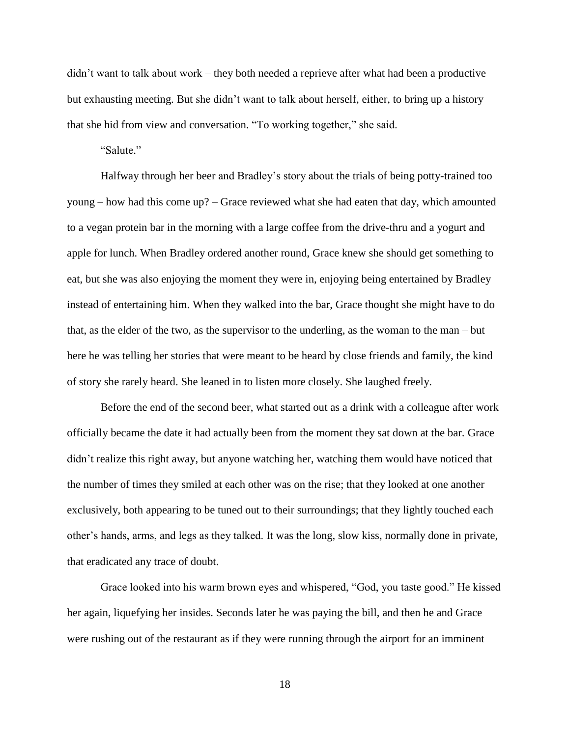didn't want to talk about work – they both needed a reprieve after what had been a productive but exhausting meeting. But she didn't want to talk about herself, either, to bring up a history that she hid from view and conversation. "To working together," she said.

"Salute."

Halfway through her beer and Bradley's story about the trials of being potty-trained too young – how had this come up? – Grace reviewed what she had eaten that day, which amounted to a vegan protein bar in the morning with a large coffee from the drive-thru and a yogurt and apple for lunch. When Bradley ordered another round, Grace knew she should get something to eat, but she was also enjoying the moment they were in, enjoying being entertained by Bradley instead of entertaining him. When they walked into the bar, Grace thought she might have to do that, as the elder of the two, as the supervisor to the underling, as the woman to the man – but here he was telling her stories that were meant to be heard by close friends and family, the kind of story she rarely heard. She leaned in to listen more closely. She laughed freely.

Before the end of the second beer, what started out as a drink with a colleague after work officially became the date it had actually been from the moment they sat down at the bar. Grace didn't realize this right away, but anyone watching her, watching them would have noticed that the number of times they smiled at each other was on the rise; that they looked at one another exclusively, both appearing to be tuned out to their surroundings; that they lightly touched each other's hands, arms, and legs as they talked. It was the long, slow kiss, normally done in private, that eradicated any trace of doubt.

Grace looked into his warm brown eyes and whispered, "God, you taste good." He kissed her again, liquefying her insides. Seconds later he was paying the bill, and then he and Grace were rushing out of the restaurant as if they were running through the airport for an imminent